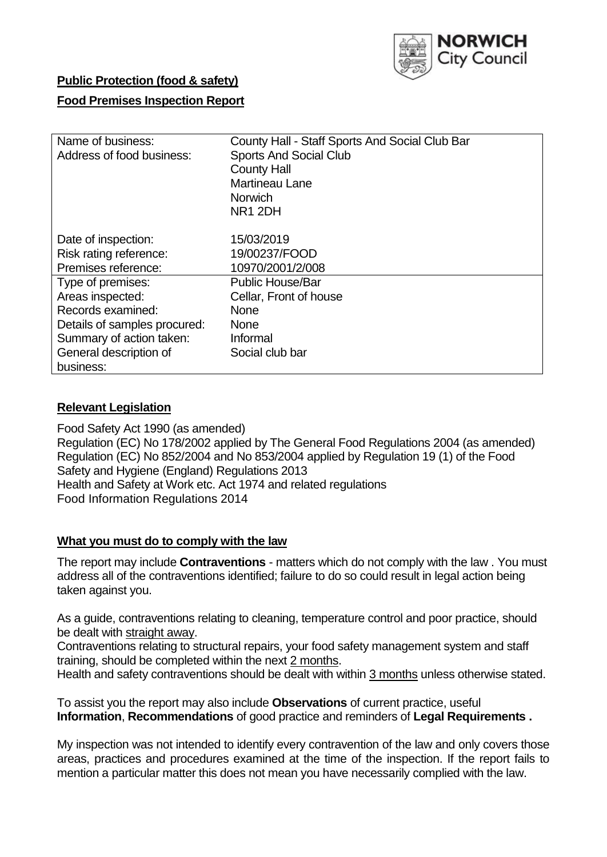

## **Public Protection (food & safety)**

### **Food Premises Inspection Report**

| Name of business:            | County Hall - Staff Sports And Social Club Bar |  |  |  |  |  |
|------------------------------|------------------------------------------------|--|--|--|--|--|
| Address of food business:    | <b>Sports And Social Club</b>                  |  |  |  |  |  |
|                              | <b>County Hall</b>                             |  |  |  |  |  |
|                              | Martineau Lane                                 |  |  |  |  |  |
|                              | <b>Norwich</b>                                 |  |  |  |  |  |
|                              | NR <sub>1</sub> 2DH                            |  |  |  |  |  |
| Date of inspection:          | 15/03/2019                                     |  |  |  |  |  |
| Risk rating reference:       | 19/00237/FOOD                                  |  |  |  |  |  |
| Premises reference:          | 10970/2001/2/008                               |  |  |  |  |  |
| Type of premises:            | <b>Public House/Bar</b>                        |  |  |  |  |  |
| Areas inspected:             | Cellar, Front of house                         |  |  |  |  |  |
| Records examined:            | <b>None</b>                                    |  |  |  |  |  |
| Details of samples procured: | <b>None</b>                                    |  |  |  |  |  |
| Summary of action taken:     | Informal                                       |  |  |  |  |  |
| General description of       | Social club bar                                |  |  |  |  |  |
| business:                    |                                                |  |  |  |  |  |

### **Relevant Legislation**

Food Safety Act 1990 (as amended) Regulation (EC) No 178/2002 applied by The General Food Regulations 2004 (as amended) Regulation (EC) No 852/2004 and No 853/2004 applied by Regulation 19 (1) of the Food Safety and Hygiene (England) Regulations 2013 Health and Safety at Work etc. Act 1974 and related regulations Food Information Regulations 2014

#### **What you must do to comply with the law**

The report may include **Contraventions** - matters which do not comply with the law . You must address all of the contraventions identified; failure to do so could result in legal action being taken against you.

As a guide, contraventions relating to cleaning, temperature control and poor practice, should be dealt with straight away.

Contraventions relating to structural repairs, your food safety management system and staff training, should be completed within the next 2 months.

Health and safety contraventions should be dealt with within 3 months unless otherwise stated.

To assist you the report may also include **Observations** of current practice, useful **Information**, **Recommendations** of good practice and reminders of **Legal Requirements .**

My inspection was not intended to identify every contravention of the law and only covers those areas, practices and procedures examined at the time of the inspection. If the report fails to mention a particular matter this does not mean you have necessarily complied with the law.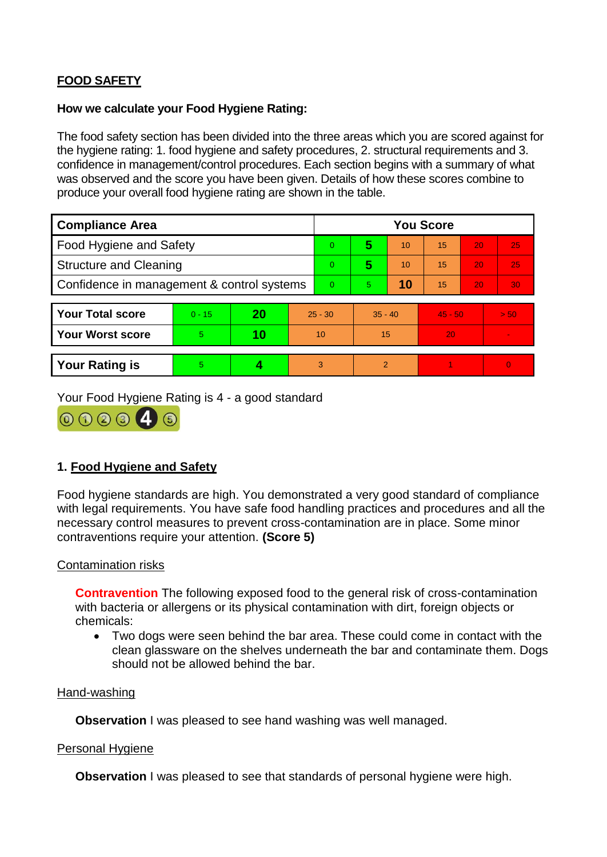# **FOOD SAFETY**

### **How we calculate your Food Hygiene Rating:**

The food safety section has been divided into the three areas which you are scored against for the hygiene rating: 1. food hygiene and safety procedures, 2. structural requirements and 3. confidence in management/control procedures. Each section begins with a summary of what was observed and the score you have been given. Details of how these scores combine to produce your overall food hygiene rating are shown in the table.

| <b>Compliance Area</b>                     |          |    |           | <b>You Score</b> |                |    |           |    |                |  |  |
|--------------------------------------------|----------|----|-----------|------------------|----------------|----|-----------|----|----------------|--|--|
| Food Hygiene and Safety                    |          |    |           | $\Omega$         | 5              | 10 | 15        | 20 | 25             |  |  |
| <b>Structure and Cleaning</b>              |          |    |           | $\Omega$         | 5              | 10 | 15        | 20 | 25             |  |  |
| Confidence in management & control systems |          |    |           | $\Omega$         | $\overline{5}$ | 10 | 15        | 20 | 30             |  |  |
|                                            |          |    |           |                  |                |    |           |    |                |  |  |
| <b>Your Total score</b>                    | $0 - 15$ | 20 | $25 - 30$ |                  | $35 - 40$      |    | $45 - 50$ |    | > 50           |  |  |
| <b>Your Worst score</b>                    | 5.       | 10 | 10        |                  | 15             |    | 20        |    | $\blacksquare$ |  |  |
|                                            |          |    |           |                  |                |    |           |    |                |  |  |
| <b>Your Rating is</b>                      | 5        |    |           | 3                | 2              |    |           |    | $\overline{0}$ |  |  |

Your Food Hygiene Rating is 4 - a good standard



## **1. Food Hygiene and Safety**

Food hygiene standards are high. You demonstrated a very good standard of compliance with legal requirements. You have safe food handling practices and procedures and all the necessary control measures to prevent cross-contamination are in place. Some minor contraventions require your attention. **(Score 5)**

### Contamination risks

**Contravention** The following exposed food to the general risk of cross-contamination with bacteria or allergens or its physical contamination with dirt, foreign objects or chemicals:

 Two dogs were seen behind the bar area. These could come in contact with the clean glassware on the shelves underneath the bar and contaminate them. Dogs should not be allowed behind the bar.

#### Hand-washing

**Observation** I was pleased to see hand washing was well managed.

#### Personal Hygiene

**Observation** I was pleased to see that standards of personal hygiene were high.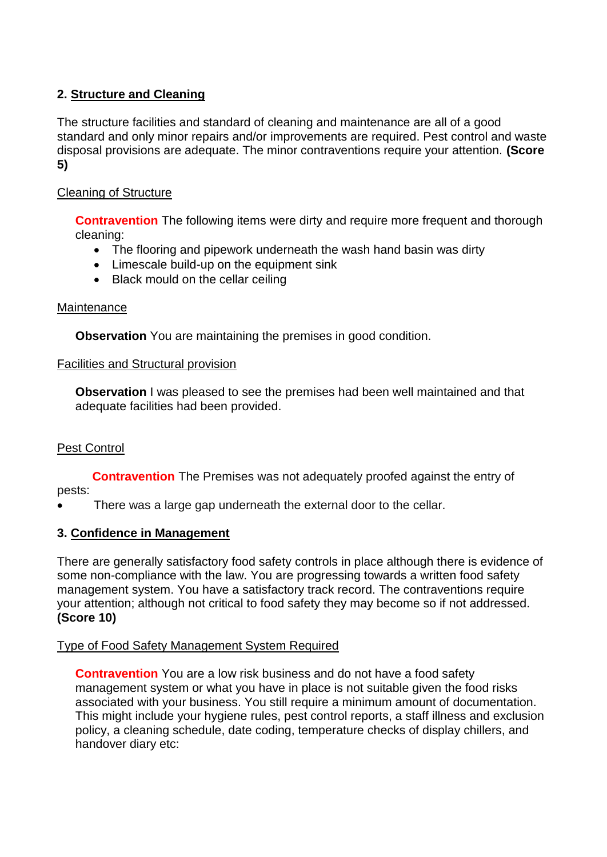## **2. Structure and Cleaning**

The structure facilities and standard of cleaning and maintenance are all of a good standard and only minor repairs and/or improvements are required. Pest control and waste disposal provisions are adequate. The minor contraventions require your attention. **(Score 5)**

## Cleaning of Structure

**Contravention** The following items were dirty and require more frequent and thorough cleaning:

- The flooring and pipework underneath the wash hand basin was dirty
- Limescale build-up on the equipment sink
- Black mould on the cellar ceiling

### Maintenance

**Observation** You are maintaining the premises in good condition.

### Facilities and Structural provision

**Observation** I was pleased to see the premises had been well maintained and that adequate facilities had been provided.

### Pest Control

 **Contravention** The Premises was not adequately proofed against the entry of pests:

There was a large gap underneath the external door to the cellar.

### **3. Confidence in Management**

There are generally satisfactory food safety controls in place although there is evidence of some non-compliance with the law. You are progressing towards a written food safety management system. You have a satisfactory track record. The contraventions require your attention; although not critical to food safety they may become so if not addressed. **(Score 10)**

### Type of Food Safety Management System Required

**Contravention** You are a low risk business and do not have a food safety management system or what you have in place is not suitable given the food risks associated with your business. You still require a minimum amount of documentation. This might include your hygiene rules, pest control reports, a staff illness and exclusion policy, a cleaning schedule, date coding, temperature checks of display chillers, and handover diary etc: